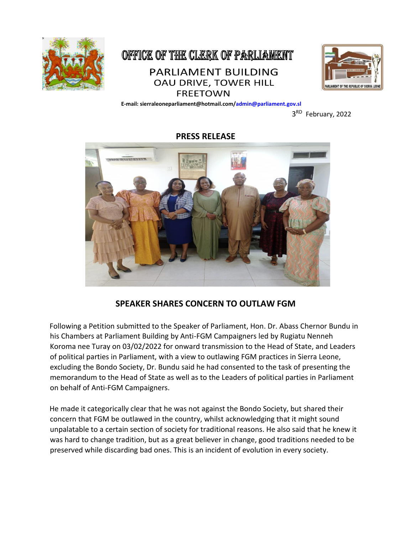

## OFFICE OF THE CLERK OF PARLIAMENT **PARLIAMENT BUILDING OAU DRIVE, TOWER HILL FREETOWN**



 **E-mail: sierraleoneparliament@hotmail.com/admin@parliament.gov.sl** 

**3** 3<sup>RD</sup> February, 2022

## **PRESS RELEASE**



## **SPEAKER SHARES CONCERN TO OUTLAW FGM**

Following a Petition submitted to the Speaker of Parliament, Hon. Dr. Abass Chernor Bundu in his Chambers at Parliament Building by Anti-FGM Campaigners led by Rugiatu Nenneh Koroma nee Turay on 03/02/2022 for onward transmission to the Head of State, and Leaders of political parties in Parliament, with a view to outlawing FGM practices in Sierra Leone, excluding the Bondo Society, Dr. Bundu said he had consented to the task of presenting the memorandum to the Head of State as well as to the Leaders of political parties in Parliament on behalf of Anti-FGM Campaigners.

He made it categorically clear that he was not against the Bondo Society, but shared their concern that FGM be outlawed in the country, whilst acknowledging that it might sound unpalatable to a certain section of society for traditional reasons. He also said that he knew it was hard to change tradition, but as a great believer in change, good traditions needed to be preserved while discarding bad ones. This is an incident of evolution in every society.